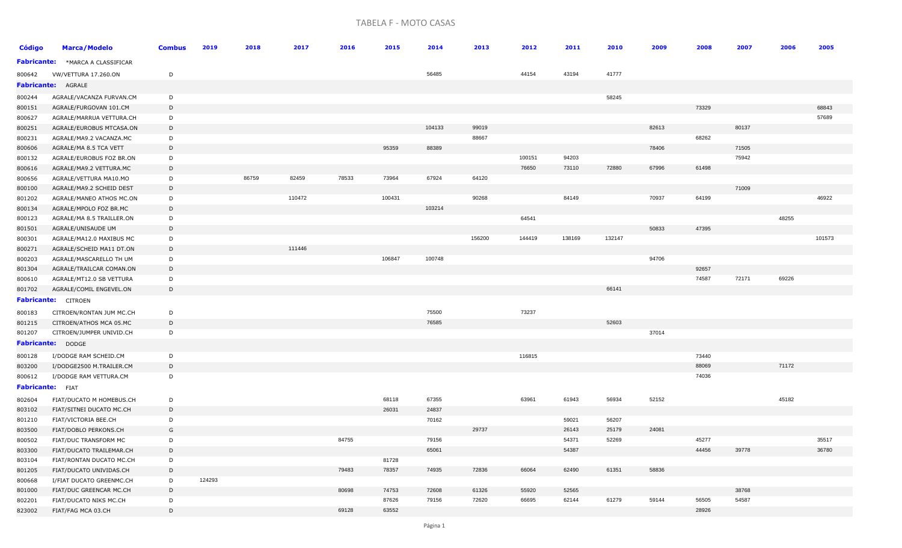## TABELA F - MOTO CASAS

| <b>Código</b>           | <b>Marca/Modelo</b>        | <b>Combus</b> | 2019   | 2018  | 2017   | 2016  | 2015   | 2014   | 2013   | 2012   | 2011   | 2010   | 2009  | 2008           | 2007  | 2006  | 2005   |
|-------------------------|----------------------------|---------------|--------|-------|--------|-------|--------|--------|--------|--------|--------|--------|-------|----------------|-------|-------|--------|
| <b>Fabricante:</b>      | *MARCA A CLASSIFICAR       |               |        |       |        |       |        |        |        |        |        |        |       |                |       |       |        |
| 800642                  | VW/VETTURA 17.260.ON       | D             |        |       |        |       |        | 56485  |        | 44154  | 43194  | 41777  |       |                |       |       |        |
|                         | <b>Fabricante: AGRALE</b>  |               |        |       |        |       |        |        |        |        |        |        |       |                |       |       |        |
| 800244                  | AGRALE/VACANZA FURVAN.CM   | D             |        |       |        |       |        |        |        |        |        | 58245  |       |                |       |       |        |
| 800151                  | AGRALE/FURGOVAN 101.CM     | D             |        |       |        |       |        |        |        |        |        |        |       | 73329          |       |       | 68843  |
| 800627                  | AGRALE/MARRUA VETTURA.CH   | D             |        |       |        |       |        |        |        |        |        |        |       |                |       |       | 57689  |
| 800251                  | AGRALE/EUROBUS MTCASA.ON   | D             |        |       |        |       |        | 104133 | 99019  |        |        |        | 82613 |                | 80137 |       |        |
| 800231                  | AGRALE/MA9.2 VACANZA.MC    | D             |        |       |        |       |        |        | 88667  |        |        |        |       | 68262          |       |       |        |
| 800606                  | AGRALE/MA 8.5 TCA VETT     | D             |        |       |        |       | 95359  | 88389  |        |        |        |        | 78406 |                | 71505 |       |        |
| 800132                  | AGRALE/EUROBUS FOZ BR.ON   | D             |        |       |        |       |        |        |        | 100151 | 94203  |        |       |                | 75942 |       |        |
| 800616                  | AGRALE/MA9.2 VETTURA.MC    | D             |        |       |        |       |        |        |        | 76650  | 73110  | 72880  | 67996 | 61498          |       |       |        |
| 800656                  | AGRALE/VETTURA MA10.MO     | D             |        | 86759 | 82459  | 78533 | 73964  | 67924  | 64120  |        |        |        |       |                |       |       |        |
| 800100                  | AGRALE/MA9.2 SCHEID DEST   | D             |        |       |        |       |        |        |        |        |        |        |       |                | 71009 |       |        |
| 801202                  | AGRALE/MANEO ATHOS MC.ON   | D             |        |       | 110472 |       | 100431 |        | 90268  |        | 84149  |        | 70937 | 64199          |       |       | 46922  |
| 800134                  | AGRALE/MPOLO FOZ BR.MC     | D             |        |       |        |       |        | 103214 |        |        |        |        |       |                |       |       |        |
| 800123                  | AGRALE/MA 8.5 TRAILLER.ON  | D             |        |       |        |       |        |        |        | 64541  |        |        |       |                |       | 48255 |        |
| 801501                  | AGRALE/UNISAUDE UM         | D             |        |       |        |       |        |        |        |        |        |        | 50833 | 47395          |       |       |        |
| 800301                  | AGRALE/MA12.0 MAXIBUS MC   | D             |        |       |        |       |        |        | 156200 | 144419 | 138169 | 132147 |       |                |       |       | 101573 |
| 800271                  | AGRALE/SCHEID MA11 DT.ON   | D             |        |       | 111446 |       |        |        |        |        |        |        |       |                |       |       |        |
| 800203                  | AGRALE/MASCARELLO TH UM    | D             |        |       |        |       | 106847 | 100748 |        |        |        |        | 94706 |                |       |       |        |
| 801304                  | AGRALE/TRAILCAR COMAN.ON   | D             |        |       |        |       |        |        |        |        |        |        |       | 92657          |       |       |        |
| 800610                  | AGRALE/MT12.0 SB VETTURA   | D             |        |       |        |       |        |        |        |        |        |        |       | 74587          | 72171 | 69226 |        |
| 801702                  | AGRALE/COMIL ENGEVEL.ON    | D             |        |       |        |       |        |        |        |        |        | 66141  |       |                |       |       |        |
|                         | <b>Fabricante:</b> CITROEN |               |        |       |        |       |        |        |        |        |        |        |       |                |       |       |        |
| 800183                  | CITROEN/RONTAN JUM MC.CH   | D             |        |       |        |       |        | 75500  |        | 73237  |        |        |       |                |       |       |        |
| 801215                  | CITROEN/ATHOS MCA 05.MC    | D             |        |       |        |       |        | 76585  |        |        |        | 52603  |       |                |       |       |        |
| 801207                  | CITROEN/JUMPER UNIVID.CH   | D             |        |       |        |       |        |        |        |        |        |        | 37014 |                |       |       |        |
|                         | <b>Fabricante: DODGE</b>   |               |        |       |        |       |        |        |        |        |        |        |       |                |       |       |        |
|                         |                            |               |        |       |        |       |        |        |        |        |        |        |       |                |       |       |        |
| 800128                  | I/DODGE RAM SCHEID.CM      | D             |        |       |        |       |        |        |        | 116815 |        |        |       | 73440<br>88069 |       |       |        |
| 803200                  | I/DODGE2500 M.TRAILER.CM   | D             |        |       |        |       |        |        |        |        |        |        |       |                |       | 71172 |        |
| 800612                  | I/DODGE RAM VETTURA.CM     | D             |        |       |        |       |        |        |        |        |        |        |       | 74036          |       |       |        |
| <b>Fabricante:</b> FIAT |                            |               |        |       |        |       |        |        |        |        |        |        |       |                |       |       |        |
| 802604                  | FIAT/DUCATO M HOMEBUS.CH   | D             |        |       |        |       | 68118  | 67355  |        | 63961  | 61943  | 56934  | 52152 |                |       | 45182 |        |
| 803102                  | FIAT/SITNEI DUCATO MC.CH   | D             |        |       |        |       | 26031  | 24837  |        |        |        |        |       |                |       |       |        |
| 801210                  | FIAT/VICTORIA BEE.CH       | D             |        |       |        |       |        | 70162  |        |        | 59021  | 56207  |       |                |       |       |        |
| 803500                  | FIAT/DOBLO PERKONS.CH      | G             |        |       |        |       |        |        | 29737  |        | 26143  | 25179  | 24081 |                |       |       |        |
| 800502                  | FIAT/DUC TRANSFORM MC      | D             |        |       |        | 84755 |        | 79156  |        |        | 54371  | 52269  |       | 45277          |       |       | 35517  |
| 803300                  | FIAT/DUCATO TRAILEMAR.CH   | D             |        |       |        |       |        | 65061  |        |        | 54387  |        |       | 44456          | 39778 |       | 36780  |
| 803104                  | FIAT/RONTAN DUCATO MC.CH   | D             |        |       |        |       | 81728  |        |        |        |        |        |       |                |       |       |        |
| 801205                  | FIAT/DUCATO UNIVIDAS.CH    | D             |        |       |        | 79483 | 78357  | 74935  | 72836  | 66064  | 62490  | 61351  | 58836 |                |       |       |        |
| 800668                  | I/FIAT DUCATO GREENMC.CH   | D             | 124293 |       |        |       |        |        |        |        |        |        |       |                |       |       |        |
| 801000                  | FIAT/DUC GREENCAR MC.CH    | D             |        |       |        | 80698 | 74753  | 72608  | 61326  | 55920  | 52565  |        |       |                | 38768 |       |        |
| 802201                  | FIAT/DUCATO NIKS MC.CH     | D             |        |       |        |       | 87626  | 79156  | 72620  | 66695  | 62144  | 61279  | 59144 | 56505          | 54587 |       |        |
| 823002                  | FIAT/FAG MCA 03.CH         | D             |        |       |        | 69128 | 63552  |        |        |        |        |        |       | 28926          |       |       |        |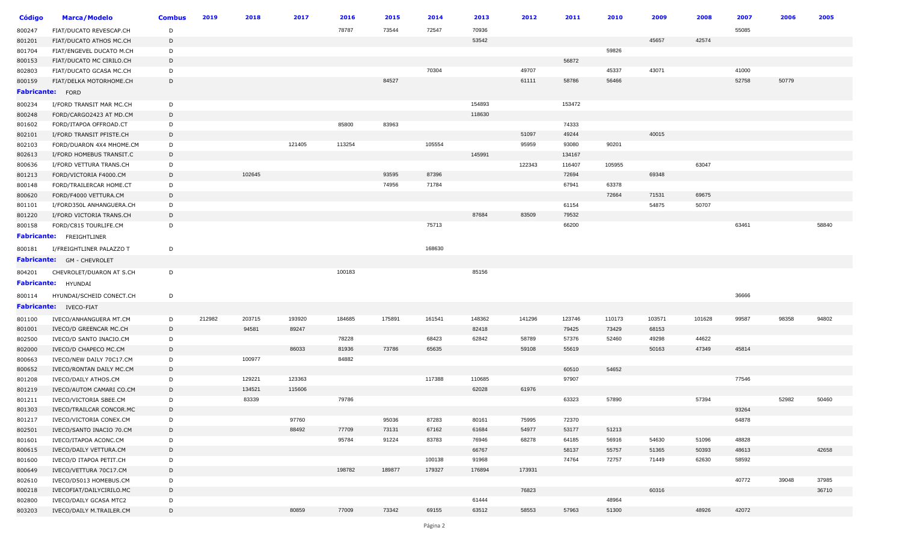| <b>Código</b>    | <b>Marca/Modelo</b>             | <b>Combus</b> | 2019   | 2018   | 2017   | 2016   | 2015   | 2014   | 2013   | 2012   | 2011   | 2010   | 2009   | 2008   | 2007  | 2006  | 2005  |
|------------------|---------------------------------|---------------|--------|--------|--------|--------|--------|--------|--------|--------|--------|--------|--------|--------|-------|-------|-------|
| 800247           | FIAT/DUCATO REVESCAP.CH         | D             |        |        |        | 78787  | 73544  | 72547  | 70936  |        |        |        |        |        | 55085 |       |       |
| 801201           | FIAT/DUCATO ATHOS MC.CH         | D             |        |        |        |        |        |        | 53542  |        |        |        | 45657  | 42574  |       |       |       |
| 801704           | FIAT/ENGEVEL DUCATO M.CH        | D             |        |        |        |        |        |        |        |        |        | 59826  |        |        |       |       |       |
| 800153           | FIAT/DUCATO MC CIRILO.CH        | D             |        |        |        |        |        |        |        |        | 56872  |        |        |        |       |       |       |
| 802803           | FIAT/DUCATO GCASA MC.CH         | D             |        |        |        |        |        | 70304  |        | 49707  |        | 45337  | 43071  |        | 41000 |       |       |
| 800159           | FIAT/DELKA MOTORHOME.CH         | D             |        |        |        |        | 84527  |        |        | 61111  | 58786  | 56466  |        |        | 52758 | 50779 |       |
| Fabricante: FORD |                                 |               |        |        |        |        |        |        |        |        |        |        |        |        |       |       |       |
| 800234           | I/FORD TRANSIT MAR MC.CH        | D             |        |        |        |        |        |        | 154893 |        | 153472 |        |        |        |       |       |       |
| 800248           | FORD/CARGO2423 AT MD.CM         | D             |        |        |        |        |        |        | 118630 |        |        |        |        |        |       |       |       |
| 801602           | FORD/ITAPOA OFFROAD.CT          | D             |        |        |        | 85800  | 83963  |        |        |        | 74333  |        |        |        |       |       |       |
| 802101           | I/FORD TRANSIT PFISTE.CH        | D             |        |        |        |        |        |        |        | 51097  | 49244  |        | 40015  |        |       |       |       |
| 802103           | FORD/DUARON 4X4 MHOME.CM        | D             |        |        | 121405 | 113254 |        | 105554 |        | 95959  | 93080  | 90201  |        |        |       |       |       |
| 802613           | I/FORD HOMEBUS TRANSIT.C        | D             |        |        |        |        |        |        | 145991 |        | 134167 |        |        |        |       |       |       |
| 800636           | I/FORD VETTURA TRANS.CH         | D             |        |        |        |        |        |        |        | 122343 | 116407 | 105955 |        | 63047  |       |       |       |
| 801213           | FORD/VICTORIA F4000.CM          | D             |        | 102645 |        |        | 93595  | 87396  |        |        | 72694  |        | 69348  |        |       |       |       |
| 800148           | FORD/TRAILERCAR HOME.CT         | D             |        |        |        |        | 74956  | 71784  |        |        | 67941  | 63378  |        |        |       |       |       |
| 800620           | FORD/F4000 VETTURA.CM           | D             |        |        |        |        |        |        |        |        |        | 72664  | 71531  | 69675  |       |       |       |
| 801101           | I/FORD350L ANHANGUERA.CH        | D             |        |        |        |        |        |        |        |        | 61154  |        | 54875  | 50707  |       |       |       |
| 801220           | I/FORD VICTORIA TRANS.CH        | D             |        |        |        |        |        |        | 87684  | 83509  | 79532  |        |        |        |       |       |       |
| 800158           | FORD/C815 TOURLIFE.CM           | D             |        |        |        |        |        | 75713  |        |        | 66200  |        |        |        | 63461 |       | 58840 |
|                  | <b>Fabricante:</b> FREIGHTLINER |               |        |        |        |        |        |        |        |        |        |        |        |        |       |       |       |
|                  | I/FREIGHTLINER PALAZZO T        |               |        |        |        |        |        | 168630 |        |        |        |        |        |        |       |       |       |
| 800181           |                                 | D             |        |        |        |        |        |        |        |        |        |        |        |        |       |       |       |
|                  | Fabricante: GM - CHEVROLET      |               |        |        |        |        |        |        |        |        |        |        |        |        |       |       |       |
| 804201           | CHEVROLET/DUARON AT S.CH        | D             |        |        |        | 100183 |        |        | 85156  |        |        |        |        |        |       |       |       |
|                  | <b>Fabricante:</b> HYUNDAI      |               |        |        |        |        |        |        |        |        |        |        |        |        |       |       |       |
| 800114           | HYUNDAI/SCHEID CONECT.CH        | D             |        |        |        |        |        |        |        |        |        |        |        |        | 36666 |       |       |
|                  | Fabricante: IVECO-FIAT          |               |        |        |        |        |        |        |        |        |        |        |        |        |       |       |       |
| 801100           | IVECO/ANHANGUERA MT.CM          | D             | 212982 | 203715 | 193920 | 184685 | 175891 | 161541 | 148362 | 141296 | 123746 | 110173 | 103571 | 101628 | 99587 | 98358 | 94802 |
| 801001           | IVECO/D GREENCAR MC.CH          | D             |        | 94581  | 89247  |        |        |        | 82418  |        | 79425  | 73429  | 68153  |        |       |       |       |
| 802500           | IVECO/D SANTO INACIO.CM         | D             |        |        |        | 78228  |        | 68423  | 62842  | 58789  | 57376  | 52460  | 49298  | 44622  |       |       |       |
| 802000           | IVECO/D CHAPECO MC.CM           | D             |        |        | 86033  | 81936  | 73786  | 65635  |        | 59108  | 55619  |        | 50163  | 47349  | 45814 |       |       |
| 800663           | IVECO/NEW DAILY 70C17.CM        | D             |        | 100977 |        | 84882  |        |        |        |        |        |        |        |        |       |       |       |
| 800652           | IVECO/RONTAN DAILY MC.CM        | D             |        |        |        |        |        |        |        |        | 60510  | 54652  |        |        |       |       |       |
| 801208           | IVECO/DAILY ATHOS.CM            | D             |        | 129221 | 123363 |        |        | 117388 | 110685 |        | 97907  |        |        |        | 77546 |       |       |
| 801219           | IVECO/AUTOM CAMARI CO.CM        | D             |        | 134521 | 115606 |        |        |        | 62028  | 61976  |        |        |        |        |       |       |       |
| 801211           | IVECO/VICTORIA SBEE.CM          | D             |        | 83339  |        | 79786  |        |        |        |        | 63323  | 57890  |        | 57394  |       | 52982 | 50460 |
| 801303           | IVECO/TRAILCAR CONCOR.MC        | D             |        |        |        |        |        |        |        |        |        |        |        |        | 93264 |       |       |
| 801217           | IVECO/VICTORIA CONEX.CM         | D             |        |        | 97760  |        | 95036  | 87283  | 80161  | 75995  | 72370  |        |        |        | 64878 |       |       |
| 802501           | IVECO/SANTO INACIO 70.CM        | D             |        |        | 88492  | 77709  | 73131  | 67162  | 61684  | 54977  | 53177  | 51213  |        |        |       |       |       |
| 801601           | IVECO/ITAPOA ACONC.CM           | D             |        |        |        | 95784  | 91224  | 83783  | 76946  | 68278  | 64185  | 56916  | 54630  | 51096  | 48828 |       |       |
| 800615           | IVECO/DAILY VETTURA.CM          | D             |        |        |        |        |        |        | 66767  |        | 58137  | 55757  | 51365  | 50393  | 48613 |       | 42658 |
| 801600           | IVECO/D ITAPOA PETIT.CH         | D             |        |        |        |        |        | 100138 | 91968  |        | 74764  | 72757  | 71449  | 62630  | 58592 |       |       |
| 800649           | IVECO/VETTURA 70C17.CM          | D             |        |        |        | 198782 | 189877 | 179327 | 176894 | 173931 |        |        |        |        |       |       |       |
| 802610           | IVECO/D5013 HOMEBUS.CM          | D             |        |        |        |        |        |        |        |        |        |        |        |        | 40772 | 39048 | 37985 |
| 800218           | IVECOFIAT/DAILYCIRILO.MC        | D             |        |        |        |        |        |        |        | 76823  |        |        | 60316  |        |       |       | 36710 |
| 802800           | IVECO/DAILY GCASA MTC2          | D             |        |        |        |        |        |        | 61444  |        |        | 48964  |        |        |       |       |       |
| 803203           | IVECO/DAILY M.TRAILER.CM        | D             |        |        | 80859  | 77009  | 73342  | 69155  | 63512  | 58553  | 57963  | 51300  |        | 48926  | 42072 |       |       |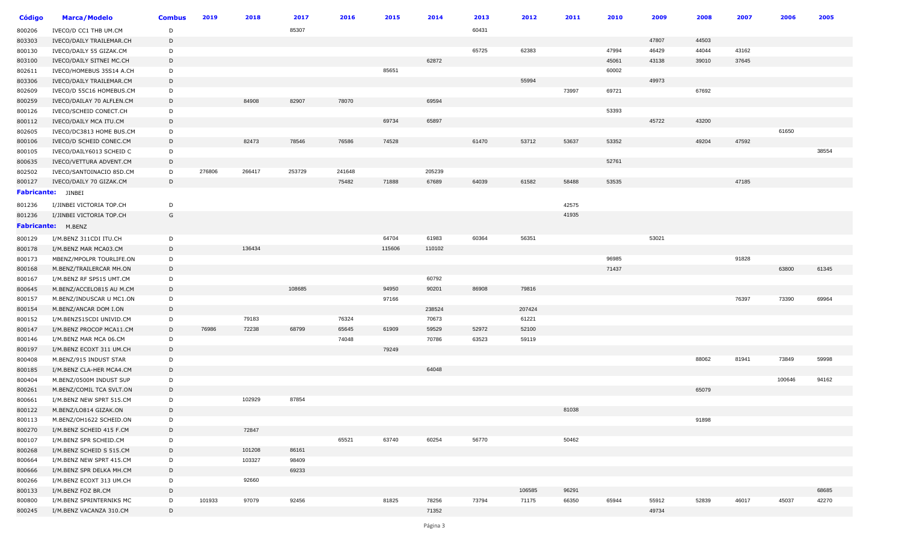| Código | <b>Marca/Modelo</b>       | <b>Combus</b> | 2019   | 2018   | 2017   | 2016   | 2015            | 2014   | 2013  | 2012   | 2011  | 2010  | 2009  | 2008  | 2007  | 2006   | 2005  |
|--------|---------------------------|---------------|--------|--------|--------|--------|-----------------|--------|-------|--------|-------|-------|-------|-------|-------|--------|-------|
| 800206 | IVECO/D CC1 THB UM.CM     | D             |        |        | 85307  |        |                 |        | 60431 |        |       |       |       |       |       |        |       |
| 803303 | IVECO/DAILY TRAILEMAR.CH  | D             |        |        |        |        |                 |        |       |        |       |       | 47807 | 44503 |       |        |       |
| 800130 | IVECO/DAILY 55 GIZAK.CM   | D             |        |        |        |        |                 |        | 65725 | 62383  |       | 47994 | 46429 | 44044 | 43162 |        |       |
| 803100 | IVECO/DAILY SITNEI MC.CH  | D             |        |        |        |        |                 | 62872  |       |        |       | 45061 | 43138 | 39010 | 37645 |        |       |
| 802611 | IVECO/HOMEBUS 35S14 A.CH  | D             |        |        |        |        | 85651           |        |       |        |       | 60002 |       |       |       |        |       |
| 803306 | IVECO/DAILY TRAILEMAR.CM  | D             |        |        |        |        |                 |        |       | 55994  |       |       | 49973 |       |       |        |       |
| 802609 | IVECO/D 55C16 HOMEBUS.CM  | D             |        |        |        |        |                 |        |       |        | 73997 | 69721 |       | 67692 |       |        |       |
| 800259 | IVECO/DAILAY 70 ALFLEN.CM | D             |        | 84908  | 82907  | 78070  |                 | 69594  |       |        |       |       |       |       |       |        |       |
| 800126 | IVECO/SCHEID CONECT.CH    | D             |        |        |        |        |                 |        |       |        |       | 53393 |       |       |       |        |       |
| 800112 | IVECO/DAILY MCA ITU.CM    | D             |        |        |        |        | 69734           | 65897  |       |        |       |       | 45722 | 43200 |       |        |       |
| 802605 | IVECO/DC3813 HOME BUS.CM  | D             |        |        |        |        |                 |        |       |        |       |       |       |       |       | 61650  |       |
| 800106 | IVECO/D SCHEID CONEC.CM   | D             |        | 82473  | 78546  | 76586  | 74528           |        | 61470 | 53712  | 53637 | 53352 |       | 49204 | 47592 |        |       |
| 800105 | IVECO/DAILY6013 SCHEID C  | D             |        |        |        |        |                 |        |       |        |       |       |       |       |       |        | 38554 |
| 800635 | IVECO/VETTURA ADVENT.CM   | D             |        |        |        |        |                 |        |       |        |       | 52761 |       |       |       |        |       |
| 802502 | IVECO/SANTOINACIO 85D.CM  | D             | 276806 | 266417 | 253729 | 241648 |                 | 205239 |       |        |       |       |       |       |       |        |       |
| 800127 | IVECO/DAILY 70 GIZAK.CM   | D             |        |        |        | 75482  | 71888           | 67689  | 64039 | 61582  | 58488 | 53535 |       |       | 47185 |        |       |
|        | <b>Fabricante:</b> JINBEI |               |        |        |        |        |                 |        |       |        |       |       |       |       |       |        |       |
| 801236 | I/JINBEI VICTORIA TOP.CH  | D             |        |        |        |        |                 |        |       |        | 42575 |       |       |       |       |        |       |
| 801236 | I/JINBEI VICTORIA TOP.CH  | G             |        |        |        |        |                 |        |       |        | 41935 |       |       |       |       |        |       |
|        | <b>Fabricante:</b> M.BENZ |               |        |        |        |        |                 |        |       |        |       |       |       |       |       |        |       |
|        |                           |               |        |        |        |        |                 |        |       |        |       |       |       |       |       |        |       |
| 800129 | I/M.BENZ 311CDI ITU.CH    | D             |        | 136434 |        |        | 64704<br>115606 | 61983  | 60364 | 56351  |       |       | 53021 |       |       |        |       |
| 800178 | I/M.BENZ MAR MCA03.CM     | D             |        |        |        |        |                 | 110102 |       |        |       |       |       |       |       |        |       |
| 800173 | MBENZ/MPOLPR TOURLIFE.ON  | D             |        |        |        |        |                 |        |       |        |       | 96985 |       |       | 91828 |        |       |
| 800168 | M.BENZ/TRAILERCAR MH.ON   | D             |        |        |        |        |                 |        |       |        |       | 71437 |       |       |       | 63800  | 61345 |
| 800167 | I/M.BENZ RF SP515 UMT.CM  | D             |        |        |        |        |                 | 60792  |       |        |       |       |       |       |       |        |       |
| 800645 | M.BENZ/ACCELO815 AU M.CM  | D             |        |        | 108685 |        | 94950           | 90201  | 86908 | 79816  |       |       |       |       |       |        |       |
| 800157 | M.BENZ/INDUSCAR U MC1.ON  | D             |        |        |        |        | 97166           |        |       |        |       |       |       |       | 76397 | 73390  | 69964 |
| 800154 | M.BENZ/ANCAR DOM I.ON     | D             |        |        |        |        |                 | 238524 |       | 207424 |       |       |       |       |       |        |       |
| 800152 | I/M.BENZ515CDI UNIVID.CM  | D             |        | 79183  |        | 76324  |                 | 70673  |       | 61221  |       |       |       |       |       |        |       |
| 800147 | I/M.BENZ PROCOP MCA11.CM  | D             | 76986  | 72238  | 68799  | 65645  | 61909           | 59529  | 52972 | 52100  |       |       |       |       |       |        |       |
| 800146 | I/M.BENZ MAR MCA 06.CM    | D             |        |        |        | 74048  |                 | 70786  | 63523 | 59119  |       |       |       |       |       |        |       |
| 800197 | I/M.BENZ ECOXT 311 UM.CH  | D             |        |        |        |        | 79249           |        |       |        |       |       |       |       |       |        |       |
| 800408 | M.BENZ/915 INDUST STAR    | D             |        |        |        |        |                 | 64048  |       |        |       |       |       | 88062 | 81941 | 73849  | 59998 |
| 800185 | I/M.BENZ CLA-HER MCA4.CM  | D             |        |        |        |        |                 |        |       |        |       |       |       |       |       | 100646 |       |
| 800404 | M.BENZ/0500M INDUST SUP   | D             |        |        |        |        |                 |        |       |        |       |       |       | 65079 |       |        | 94162 |
| 800261 | M.BENZ/COMIL TCA SVLT.ON  | D             |        |        |        |        |                 |        |       |        |       |       |       |       |       |        |       |
| 800661 | I/M.BENZ NEW SPRT 515.CM  | D<br>D        |        | 102929 | 87854  |        |                 |        |       |        | 81038 |       |       |       |       |        |       |
| 800122 | M.BENZ/LO814 GIZAK.ON     |               |        |        |        |        |                 |        |       |        |       |       |       |       |       |        |       |
| 800113 | M.BENZ/OH1622 SCHEID.ON   | D             |        | 72847  |        |        |                 |        |       |        |       |       |       | 91898 |       |        |       |
| 800270 | I/M.BENZ SCHEID 415 F.CM  | D             |        |        |        |        | 63740           |        |       |        |       |       |       |       |       |        |       |
| 800107 | I/M.BENZ SPR SCHEID.CM    | D             |        |        |        | 65521  |                 | 60254  | 56770 |        | 50462 |       |       |       |       |        |       |
| 800268 | I/M.BENZ SCHEID S 515.CM  | D             |        | 101208 | 86161  |        |                 |        |       |        |       |       |       |       |       |        |       |
| 800664 | I/M.BENZ NEW SPRT 415.CM  | D             |        | 103327 | 98409  |        |                 |        |       |        |       |       |       |       |       |        |       |
| 800666 | I/M.BENZ SPR DELKA MH.CM  | D             |        |        | 69233  |        |                 |        |       |        |       |       |       |       |       |        |       |
| 800266 | I/M.BENZ ECOXT 313 UM.CH  | D             |        | 92660  |        |        |                 |        |       |        |       |       |       |       |       |        |       |
| 800133 | I/M.BENZ FOZ BR.CM        | D             |        |        |        |        |                 |        |       | 106585 | 96291 |       |       |       |       |        | 68685 |
| 800800 | I/M.BENZ SPRINTERNIKS MC  | D             | 101933 | 97079  | 92456  |        | 81825           | 78256  | 73794 | 71175  | 66350 | 65944 | 55912 | 52839 | 46017 | 45037  | 42270 |
| 800245 | I/M.BENZ VACANZA 310.CM   | D             |        |        |        |        |                 | 71352  |       |        |       |       | 49734 |       |       |        |       |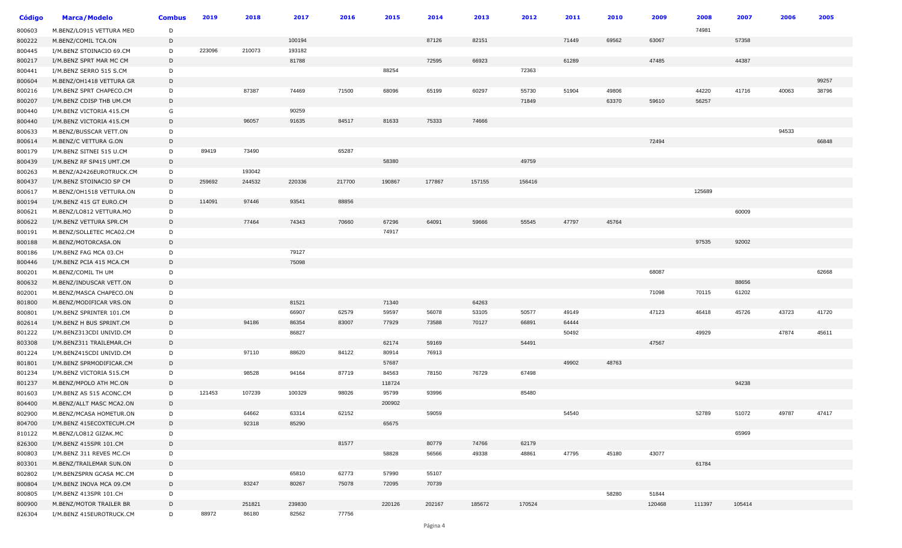| <b>Código</b> | <b>Marca/Modelo</b>      | <b>Combus</b> | 2019   | 2018   | 2017   | 2016   | 2015   | 2014   | 2013   | 2012   | 2011  | 2010  | 2009   | 2008   | 2007   | 2006  | 2005  |
|---------------|--------------------------|---------------|--------|--------|--------|--------|--------|--------|--------|--------|-------|-------|--------|--------|--------|-------|-------|
| 800603        | M.BENZ/LO915 VETTURA MED | D             |        |        |        |        |        |        |        |        |       |       |        | 74981  |        |       |       |
| 800222        | M.BENZ/COMIL TCA.ON      | D             |        |        | 100194 |        |        | 87126  | 82151  |        | 71449 | 69562 | 63067  |        | 57358  |       |       |
| 800445        | I/M.BENZ STOINACIO 69.CM | D             | 223096 | 210073 | 193182 |        |        |        |        |        |       |       |        |        |        |       |       |
| 800217        | I/M.BENZ SPRT MAR MC CM  | D             |        |        | 81788  |        |        | 72595  | 66923  |        | 61289 |       | 47485  |        | 44387  |       |       |
| 800441        | I/M.BENZ SERRO 515 S.CM  | D             |        |        |        |        | 88254  |        |        | 72363  |       |       |        |        |        |       |       |
| 800604        | M.BENZ/OH1418 VETTURA GR | D             |        |        |        |        |        |        |        |        |       |       |        |        |        |       | 99257 |
| 800216        | I/M.BENZ SPRT CHAPECO.CM | D             |        | 87387  | 74469  | 71500  | 68096  | 65199  | 60297  | 55730  | 51904 | 49806 |        | 44220  | 41716  | 40063 | 38796 |
| 800207        | I/M.BENZ CDISP THB UM.CM | D             |        |        |        |        |        |        |        | 71849  |       | 63370 | 59610  | 56257  |        |       |       |
| 800440        | I/M.BENZ VICTORIA 415.CM | G             |        |        | 90259  |        |        |        |        |        |       |       |        |        |        |       |       |
| 800440        | I/M.BENZ VICTORIA 415.CM | D             |        | 96057  | 91635  | 84517  | 81633  | 75333  | 74666  |        |       |       |        |        |        |       |       |
| 800633        | M.BENZ/BUSSCAR VETT.ON   | D             |        |        |        |        |        |        |        |        |       |       |        |        |        | 94533 |       |
| 800614        | M.BENZ/C VETTURA G.ON    | D             |        |        |        |        |        |        |        |        |       |       | 72494  |        |        |       | 66848 |
| 800179        | I/M.BENZ SITNEI 515 U.CM | D             | 89419  | 73490  |        | 65287  |        |        |        |        |       |       |        |        |        |       |       |
| 800439        | I/M.BENZ RF SP415 UMT.CM | D             |        |        |        |        | 58380  |        |        | 49759  |       |       |        |        |        |       |       |
| 800263        | M.BENZ/A2426EUROTRUCK.CM | D             |        | 193042 |        |        |        |        |        |        |       |       |        |        |        |       |       |
| 800437        | I/M.BENZ STOINACIO SP CM | D             | 259692 | 244532 | 220336 | 217700 | 190867 | 177867 | 157155 | 156416 |       |       |        |        |        |       |       |
| 800617        | M.BENZ/OH1518 VETTURA.ON | D             |        |        |        |        |        |        |        |        |       |       |        | 125689 |        |       |       |
| 800194        | I/M.BENZ 415 GT EURO.CM  | D             | 114091 | 97446  | 93541  | 88856  |        |        |        |        |       |       |        |        |        |       |       |
| 800621        | M.BENZ/LO812 VETTURA.MO  | D             |        |        |        |        |        |        |        |        |       |       |        |        | 60009  |       |       |
| 800622        | I/M.BENZ VETTURA SPR.CM  | D             |        | 77464  | 74343  | 70660  | 67296  | 64091  | 59666  | 55545  | 47797 | 45764 |        |        |        |       |       |
| 800191        | M.BENZ/SOLLETEC MCA02.CM | D             |        |        |        |        | 74917  |        |        |        |       |       |        |        |        |       |       |
| 800188        | M.BENZ/MOTORCASA.ON      | D             |        |        |        |        |        |        |        |        |       |       |        | 97535  | 92002  |       |       |
| 800186        | I/M.BENZ FAG MCA 03.CH   | D             |        |        | 79127  |        |        |        |        |        |       |       |        |        |        |       |       |
| 800446        | I/M.BENZ PCIA 415 MCA.CM | D             |        |        | 75098  |        |        |        |        |        |       |       |        |        |        |       |       |
| 800201        | M.BENZ/COMIL TH UM       | D             |        |        |        |        |        |        |        |        |       |       | 68087  |        |        |       | 62668 |
| 800632        | M.BENZ/INDUSCAR VETT.ON  | D             |        |        |        |        |        |        |        |        |       |       |        |        | 88656  |       |       |
| 802001        | M.BENZ/MASCA CHAPECO.ON  | D             |        |        |        |        |        |        |        |        |       |       | 71098  | 70115  | 61202  |       |       |
| 801800        | M.BENZ/MODIFICAR VRS.ON  | D             |        |        | 81521  |        | 71340  |        | 64263  |        |       |       |        |        |        |       |       |
| 800801        | I/M.BENZ SPRINTER 101.CM | D             |        |        | 66907  | 62579  | 59597  | 56078  | 53105  | 50577  | 49149 |       | 47123  | 46418  | 45726  | 43723 | 41720 |
| 802614        | I/M.BENZ H BUS SPRINT.CM | D             |        | 94186  | 86354  | 83007  | 77929  | 73588  | 70127  | 66891  | 64444 |       |        |        |        |       |       |
| 801222        | I/M.BENZ313CDI UNIVID.CM | D             |        |        | 86827  |        |        |        |        |        | 50492 |       |        | 49929  |        | 47874 | 45611 |
| 803308        | I/M.BENZ311 TRAILEMAR.CH | D             |        |        |        |        | 62174  | 59169  |        | 54491  |       |       | 47567  |        |        |       |       |
| 801224        | I/M.BENZ415CDI UNIVID.CM | D             |        | 97110  | 88620  | 84122  | 80914  | 76913  |        |        |       |       |        |        |        |       |       |
| 801801        | I/M.BENZ SPRMODIFICAR.CM | D             |        |        |        |        | 57687  |        |        |        | 49902 | 48763 |        |        |        |       |       |
| 801234        | I/M.BENZ VICTORIA 515.CM | D             |        | 98528  | 94164  | 87719  | 84563  | 78150  | 76729  | 67498  |       |       |        |        |        |       |       |
| 801237        | M.BENZ/MPOLO ATH MC.ON   | D             |        |        |        |        | 118724 |        |        |        |       |       |        |        | 94238  |       |       |
| 801603        | I/M.BENZ AS 515 ACONC.CM | D             | 121453 | 107239 | 100329 | 98026  | 95799  | 93996  |        | 85480  |       |       |        |        |        |       |       |
| 804400        | M.BENZ/ALLT MASC MCA2.ON | D             |        |        |        |        | 200902 |        |        |        |       |       |        |        |        |       |       |
| 802900        | M.BENZ/MCASA HOMETUR.ON  | D             |        | 64662  | 63314  | 62152  |        | 59059  |        |        | 54540 |       |        | 52789  | 51072  | 49787 | 47417 |
| 804700        | I/M.BENZ 415ECOXTECUM.CM | D             |        | 92318  | 85290  |        | 65675  |        |        |        |       |       |        |        |        |       |       |
| 810122        | M.BENZ/LO812 GIZAK.MC    | D             |        |        |        |        |        |        |        |        |       |       |        |        | 65969  |       |       |
| 826300        | I/M.BENZ 415SPR 101.CM   | D             |        |        |        | 81577  |        | 80779  | 74766  | 62179  |       |       |        |        |        |       |       |
| 800803        | I/M.BENZ 311 REVES MC.CH | D             |        |        |        |        | 58828  | 56566  | 49338  | 48861  | 47795 | 45180 | 43077  |        |        |       |       |
| 803301        | M.BENZ/TRAILEMAR SUN.ON  | D             |        |        |        |        |        |        |        |        |       |       |        | 61784  |        |       |       |
| 802802        | I/M.BENZSPRN GCASA MC.CM | D             |        |        | 65810  | 62773  | 57990  | 55107  |        |        |       |       |        |        |        |       |       |
| 800804        | I/M.BENZ INOVA MCA 09.CM | $\mathsf D$   |        | 83247  | 80267  | 75078  | 72095  | 70739  |        |        |       |       |        |        |        |       |       |
| 800805        | I/M.BENZ 413SPR 101.CH   | D             |        |        |        |        |        |        |        |        |       | 58280 | 51844  |        |        |       |       |
| 800900        | M.BENZ/MOTOR TRAILER BR  | D             |        | 251821 | 239830 |        | 220126 | 202167 | 185672 | 170524 |       |       | 120468 | 111397 | 105414 |       |       |
| 826304        | I/M.BENZ 415EUROTRUCK.CM | D             | 88972  | 86180  | 82562  | 77756  |        |        |        |        |       |       |        |        |        |       |       |
|               |                          |               |        |        |        |        |        |        |        |        |       |       |        |        |        |       |       |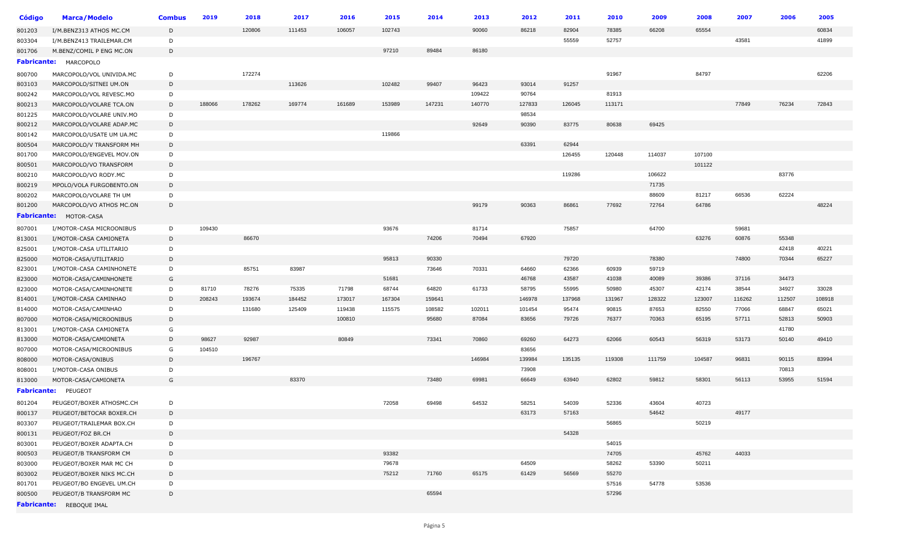| <b>Código</b>      | <b>Marca/Modelo</b>           | <b>Combus</b> | 2019   | 2018   | 2017   | 2016   | 2015   | 2014   | 2013   | 2012   | 2011   | 2010   | 2009   | 2008   | 2007   | 2006   | 2005   |
|--------------------|-------------------------------|---------------|--------|--------|--------|--------|--------|--------|--------|--------|--------|--------|--------|--------|--------|--------|--------|
| 801203             | I/M.BENZ313 ATHOS MC.CM       | D             |        | 120806 | 111453 | 106057 | 102743 |        | 90060  | 86218  | 82904  | 78385  | 66208  | 65554  |        |        | 60834  |
| 803304             | I/M.BENZ413 TRAILEMAR.CM      | D             |        |        |        |        |        |        |        |        | 55559  | 52757  |        |        | 43581  |        | 41899  |
| 801706             | M.BENZ/COMIL P ENG MC.ON      | D             |        |        |        |        | 97210  | 89484  | 86180  |        |        |        |        |        |        |        |        |
| <b>Fabricante:</b> | MARCOPOLO                     |               |        |        |        |        |        |        |        |        |        |        |        |        |        |        |        |
| 800700             | MARCOPOLO/VOL UNIVIDA.MC      | D             |        | 172274 |        |        |        |        |        |        |        | 91967  |        | 84797  |        |        | 62206  |
| 803103             | MARCOPOLO/SITNEI UM.ON        | D             |        |        | 113626 |        | 102482 | 99407  | 96423  | 93014  | 91257  |        |        |        |        |        |        |
| 800242             | MARCOPOLO/VOL REVESC.MO       | D             |        |        |        |        |        |        | 109422 | 90764  |        | 81913  |        |        |        |        |        |
| 800213             | MARCOPOLO/VOLARE TCA.ON       | D             | 188066 | 178262 | 169774 | 161689 | 153989 | 147231 | 140770 | 127833 | 126045 | 113171 |        |        | 77849  | 76234  | 72843  |
| 801225             | MARCOPOLO/VOLARE UNIV.MO      | D             |        |        |        |        |        |        |        | 98534  |        |        |        |        |        |        |        |
| 800212             | MARCOPOLO/VOLARE ADAP.MC      | D             |        |        |        |        |        |        | 92649  | 90390  | 83775  | 80638  | 69425  |        |        |        |        |
| 800142             | MARCOPOLO/USATE UM UA.MC      | D             |        |        |        |        | 119866 |        |        |        |        |        |        |        |        |        |        |
| 800504             | MARCOPOLO/V TRANSFORM MH      | D             |        |        |        |        |        |        |        | 63391  | 62944  |        |        |        |        |        |        |
| 801700             | MARCOPOLO/ENGEVEL MOV.ON      | D             |        |        |        |        |        |        |        |        | 126455 | 120448 | 114037 | 107100 |        |        |        |
| 800501             | MARCOPOLO/VO TRANSFORM        | D             |        |        |        |        |        |        |        |        |        |        |        | 101122 |        |        |        |
| 800210             | MARCOPOLO/VO RODY.MC          | D             |        |        |        |        |        |        |        |        | 119286 |        | 106622 |        |        | 83776  |        |
| 800219             | MPOLO/VOLA FURGOBENTO.ON      | D             |        |        |        |        |        |        |        |        |        |        | 71735  |        |        |        |        |
| 800202             | MARCOPOLO/VOLARE TH UM        | D             |        |        |        |        |        |        |        |        |        |        | 88609  | 81217  | 66536  | 62224  |        |
| 801200             | MARCOPOLO/VO ATHOS MC.ON      | D             |        |        |        |        |        |        | 99179  | 90363  | 86861  | 77692  | 72764  | 64786  |        |        | 48224  |
|                    | <b>Fabricante: MOTOR-CASA</b> |               |        |        |        |        |        |        |        |        |        |        |        |        |        |        |        |
| 807001             | I/MOTOR-CASA MICROONIBUS      | D             | 109430 |        |        |        | 93676  |        | 81714  |        | 75857  |        | 64700  |        | 59681  |        |        |
| 813001             | I/MOTOR-CASA CAMIONETA        | D             |        | 86670  |        |        |        | 74206  | 70494  | 67920  |        |        |        | 63276  | 60876  | 55348  |        |
| 825001             | I/MOTOR-CASA UTILITARIO       | D             |        |        |        |        |        |        |        |        |        |        |        |        |        | 42418  | 40221  |
| 825000             | MOTOR-CASA/UTILITARIO         | D             |        |        |        |        | 95813  | 90330  |        |        | 79720  |        | 78380  |        | 74800  | 70344  | 65227  |
| 823001             | I/MOTOR-CASA CAMINHONETE      | D             |        | 85751  | 83987  |        |        | 73646  | 70331  | 64660  | 62366  | 60939  | 59719  |        |        |        |        |
| 823000             | MOTOR-CASA/CAMINHONETE        | G             |        |        |        |        | 51681  |        |        | 46768  | 43587  | 41038  | 40089  | 39386  | 37116  | 34473  |        |
| 823000             | MOTOR-CASA/CAMINHONETE        | D             | 81710  | 78276  | 75335  | 71798  | 68744  | 64820  | 61733  | 58795  | 55995  | 50980  | 45307  | 42174  | 38544  | 34927  | 33028  |
| 814001             | I/MOTOR-CASA CAMINHAO         | D             | 208243 | 193674 | 184452 | 173017 | 167304 | 159641 |        | 146978 | 137968 | 131967 | 128322 | 123007 | 116262 | 112507 | 108918 |
| 814000             | MOTOR-CASA/CAMINHAO           | D             |        | 131680 | 125409 | 119438 | 115575 | 108582 | 102011 | 101454 | 95474  | 90815  | 87653  | 82550  | 77066  | 68847  | 65021  |
| 807000             | MOTOR-CASA/MICROONIBUS        | D             |        |        |        | 100810 |        | 95680  | 87084  | 83656  | 79726  | 76377  | 70363  | 65195  | 57711  | 52813  | 50903  |
| 813001             | I/MOTOR-CASA CAMIONETA        | G             |        |        |        |        |        |        |        |        |        |        |        |        |        | 41780  |        |
| 813000             | MOTOR-CASA/CAMIONETA          | D             | 98627  | 92987  |        | 80849  |        | 73341  | 70860  | 69260  | 64273  | 62066  | 60543  | 56319  | 53173  | 50140  | 49410  |
| 807000             | MOTOR-CASA/MICROONIBUS        | G             | 104510 |        |        |        |        |        |        | 83656  |        |        |        |        |        |        |        |
| 808000             | MOTOR-CASA/ONIBUS             | D             |        | 196767 |        |        |        |        | 146984 | 139984 | 135135 | 119308 | 111759 | 104587 | 96831  | 90115  | 83994  |
| 808001             | I/MOTOR-CASA ONIBUS           | D             |        |        |        |        |        |        |        | 73908  |        |        |        |        |        | 70813  |        |
| 813000             | MOTOR-CASA/CAMIONETA          | G             |        |        | 83370  |        |        | 73480  | 69981  | 66649  | 63940  | 62802  | 59812  | 58301  | 56113  | 53955  | 51594  |
| <b>Fabricante:</b> | PEUGEOT                       |               |        |        |        |        |        |        |        |        |        |        |        |        |        |        |        |
| 801204             | PEUGEOT/BOXER ATHOSMC.CH      | D             |        |        |        |        | 72058  | 69498  | 64532  | 58251  | 54039  | 52336  | 43604  | 40723  |        |        |        |
| 800137             | PEUGEOT/BETOCAR BOXER.CH      | D             |        |        |        |        |        |        |        | 63173  | 57163  |        | 54642  |        | 49177  |        |        |
| 803307             | PEUGEOT/TRAILEMAR BOX.CH      | D             |        |        |        |        |        |        |        |        |        | 56865  |        | 50219  |        |        |        |
| 800131             | PEUGEOT/FOZ BR.CH             | D             |        |        |        |        |        |        |        |        | 54328  |        |        |        |        |        |        |
| 803001             | PEUGEOT/BOXER ADAPTA.CH       | D             |        |        |        |        |        |        |        |        |        | 54015  |        |        |        |        |        |
| 800503             | PEUGEOT/B TRANSFORM CM        | D             |        |        |        |        | 93382  |        |        |        |        | 74705  |        | 45762  | 44033  |        |        |
| 803000             | PEUGEOT/BOXER MAR MC CH       | D             |        |        |        |        | 79678  |        |        | 64509  |        | 58262  | 53390  | 50211  |        |        |        |
| 803002             | PEUGEOT/BOXER NIKS MC.CH      | D             |        |        |        |        | 75212  | 71760  | 65175  | 61429  | 56569  | 55270  |        |        |        |        |        |
| 801701             | PEUGEOT/BO ENGEVEL UM.CH      | D             |        |        |        |        |        |        |        |        |        | 57516  | 54778  | 53536  |        |        |        |
| 800500             | PEUGEOT/B TRANSFORM MC        | D             |        |        |        |        |        | 65594  |        |        |        | 57296  |        |        |        |        |        |
|                    | Fabricante: REBOQUE IMAL      |               |        |        |        |        |        |        |        |        |        |        |        |        |        |        |        |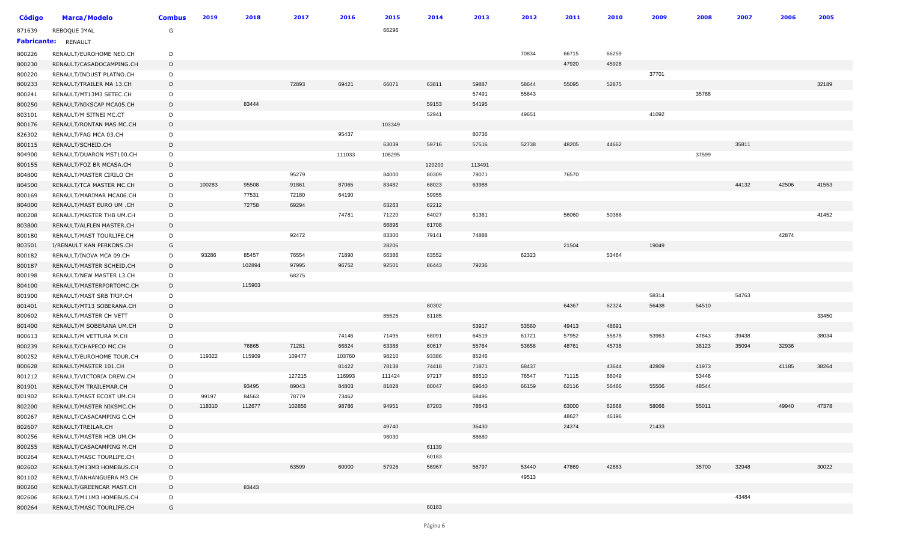| <b>Código</b>      | <b>Marca/Modelo</b>      | <b>Combus</b> | 2019   | 2018   | 2017   | 2016   | 2015   | 2014   | 2013   | 2012  | 2011  | 2010  | 2009  | 2008  | 2007  | 2006  | 2005  |
|--------------------|--------------------------|---------------|--------|--------|--------|--------|--------|--------|--------|-------|-------|-------|-------|-------|-------|-------|-------|
| 871639             | REBOQUE IMAL             | G             |        |        |        |        | 66296  |        |        |       |       |       |       |       |       |       |       |
| <b>Fabricante:</b> | RENAULT                  |               |        |        |        |        |        |        |        |       |       |       |       |       |       |       |       |
| 800226             | RENAULT/EUROHOME NEO.CH  | D             |        |        |        |        |        |        |        | 70834 | 66715 | 66259 |       |       |       |       |       |
| 800230             | RENAULT/CASADOCAMPING.CH | D             |        |        |        |        |        |        |        |       | 47920 | 45928 |       |       |       |       |       |
| 800220             | RENAULT/INDUST PLATNO.CH | D             |        |        |        |        |        |        |        |       |       |       | 37701 |       |       |       |       |
| 800233             | RENAULT/TRAILER MA 13.CH | D             |        |        | 72893  | 69421  | 66071  | 63811  | 59887  | 58644 | 55095 | 52875 |       |       |       |       | 32189 |
| 800241             | RENAULT/MT13M3 SETEC.CH  | D             |        |        |        |        |        |        | 57491  | 55643 |       |       |       | 35788 |       |       |       |
| 800250             | RENAULT/NIKSCAP MCA05.CH | D             |        | 83444  |        |        |        | 59153  | 54195  |       |       |       |       |       |       |       |       |
| 803101             | RENAULT/M SITNEI MC.CT   | D             |        |        |        |        |        | 52941  |        | 49651 |       |       | 41092 |       |       |       |       |
| 800176             | RENAULT/RONTAN MAS MC.CH | D             |        |        |        |        | 103349 |        |        |       |       |       |       |       |       |       |       |
| 826302             | RENAULT/FAG MCA 03.CH    | D             |        |        |        | 95437  |        |        | 80736  |       |       |       |       |       |       |       |       |
| 800115             | RENAULT/SCHEID.CH        | D             |        |        |        |        | 63039  | 59716  | 57516  | 52738 | 48205 | 44662 |       |       | 35811 |       |       |
| 804900             | RENAULT/DUARON MST100.CH | D             |        |        |        | 111033 | 108295 |        |        |       |       |       |       | 37599 |       |       |       |
| 800155             | RENAULT/FOZ BR MCASA.CH  | D             |        |        |        |        |        | 120200 | 113491 |       |       |       |       |       |       |       |       |
| 804800             | RENAULT/MASTER CIRILO CH | D             |        |        | 95279  |        | 84000  | 80309  | 79071  |       | 76570 |       |       |       |       |       |       |
| 804500             | RENAULT/TCA MASTER MC.CH | D             | 100283 | 95508  | 91861  | 87065  | 83482  | 68023  | 63988  |       |       |       |       |       | 44132 | 42506 | 41553 |
| 800169             | RENAULT/MARIMAR MCA06.CH | D             |        | 77531  | 72180  | 64190  |        | 59955  |        |       |       |       |       |       |       |       |       |
| 804000             | RENAULT/MAST EURO UM .CH | D             |        | 72758  | 69294  |        | 63263  | 62212  |        |       |       |       |       |       |       |       |       |
| 800208             | RENAULT/MASTER THB UM.CH | D             |        |        |        | 74781  | 71220  | 64027  | 61361  |       | 56060 | 50366 |       |       |       |       | 41452 |
| 803800             | RENAULT/ALFLEN MASTER.CH | D             |        |        |        |        | 66896  | 61708  |        |       |       |       |       |       |       |       |       |
| 800180             | RENAULT/MAST TOURLIFE.CH | D             |        |        | 92472  |        | 83300  | 79141  | 74888  |       |       |       |       |       |       | 42874 |       |
| 803501             | I/RENAULT KAN PERKONS.CH | G             |        |        |        |        | 28206  |        |        |       | 21504 |       | 19049 |       |       |       |       |
| 800182             | RENAULT/INOVA MCA 09.CH  | D             | 93286  | 85457  | 76554  | 71890  | 66386  | 63552  |        | 62323 |       | 53464 |       |       |       |       |       |
| 800187             | RENAULT/MASTER SCHEID.CH | D             |        | 102894 | 97995  | 96752  | 92501  | 86443  | 79236  |       |       |       |       |       |       |       |       |
| 800198             | RENAULT/NEW MASTER L3.CH | D             |        |        | 68275  |        |        |        |        |       |       |       |       |       |       |       |       |
| 804100             | RENAULT/MASTERPORTOMC.CH | D             |        | 115903 |        |        |        |        |        |       |       |       |       |       |       |       |       |
| 801900             | RENAULT/MAST SRB TRIP.CH | D             |        |        |        |        |        |        |        |       |       |       | 58314 |       | 54763 |       |       |
| 801401             | RENAULT/MT13 SOBERANA.CH | D             |        |        |        |        |        | 80302  |        |       | 64367 | 62324 | 56438 | 54510 |       |       |       |
| 800602             | RENAULT/MASTER CH VETT   | D             |        |        |        |        | 85525  | 81185  |        |       |       |       |       |       |       |       | 33450 |
| 801400             | RENAULT/M SOBERANA UM.CH | D             |        |        |        |        |        |        | 53917  | 53560 | 49413 | 48691 |       |       |       |       |       |
| 800613             | RENAULT/M VETTURA M.CH   | D             |        |        |        | 74146  | 71495  | 68091  | 64519  | 61721 | 57952 | 55878 | 53963 | 47843 | 39438 |       | 38034 |
| 800239             | RENAULT/CHAPECO MC.CH    | D             |        | 76865  | 71281  | 66824  | 63388  | 60617  | 55764  | 53658 | 48761 | 45738 |       | 38123 | 35094 | 32936 |       |
| 800252             | RENAULT/EUROHOME TOUR.CH | D             | 119322 | 115909 | 109477 | 103760 | 98210  | 93386  | 85246  |       |       |       |       |       |       |       |       |
| 800628             | RENAULT/MASTER 101.CH    | D             |        |        |        | 81422  | 78138  | 74418  | 71871  | 68437 |       | 43644 | 42809 | 41973 |       | 41185 | 38264 |
| 801212             | RENAULT/VICTORIA DREW.CH | D             |        |        | 127215 | 116993 | 111424 | 97217  | 86510  | 76547 | 71115 | 66049 |       | 53446 |       |       |       |
| 801901             | RENAULT/M TRAILEMAR.CH   | D             |        | 93495  | 89043  | 84803  | 81828  | 80047  | 69640  | 66159 | 62116 | 56466 | 55506 | 48544 |       |       |       |
| 801902             | RENAULT/MAST ECOXT UM.CH | D             | 99197  | 84563  | 78779  | 73462  |        |        | 68496  |       |       |       |       |       |       |       |       |
| 802200             | RENAULT/MASTER NIKSMC.CH | D             | 118310 | 112677 | 102856 | 98786  | 94951  | 87203  | 78643  |       | 63000 | 62668 | 58066 | 55011 |       | 49940 | 47378 |
| 800267             | RENAULT/CASACAMPING C.CH | D             |        |        |        |        |        |        |        |       | 48627 | 46196 |       |       |       |       |       |
| 802607             | RENAULT/TREILAR.CH       | D             |        |        |        |        | 49740  |        | 36430  |       | 24374 |       | 21433 |       |       |       |       |
| 800256             | RENAULT/MASTER HCB UM.CH | D             |        |        |        |        | 98030  |        | 88680  |       |       |       |       |       |       |       |       |
| 800255             | RENAULT/CASACAMPING M.CH | D             |        |        |        |        |        | 61139  |        |       |       |       |       |       |       |       |       |
| 800264             | RENAULT/MASC TOURLIFE.CH | D             |        |        |        |        |        | 60183  |        |       |       |       |       |       |       |       |       |
| 802602             | RENAULT/M13M3 HOMEBUS.CH | D             |        |        | 63599  | 60000  | 57926  | 56967  | 56797  | 53440 | 47869 | 42883 |       | 35700 | 32948 |       | 30022 |
| 801102             | RENAULT/ANHANGUERA M3.CH | D             |        |        |        |        |        |        |        | 49513 |       |       |       |       |       |       |       |
| 800260             | RENAULT/GREENCAR MAST.CH | D             |        | 83443  |        |        |        |        |        |       |       |       |       |       |       |       |       |
| 802606             | RENAULT/M11M3 HOMEBUS.CH | D             |        |        |        |        |        |        |        |       |       |       |       |       | 43484 |       |       |
| 800264             | RENAULT/MASC TOURLIFE.CH | G             |        |        |        |        |        | 60183  |        |       |       |       |       |       |       |       |       |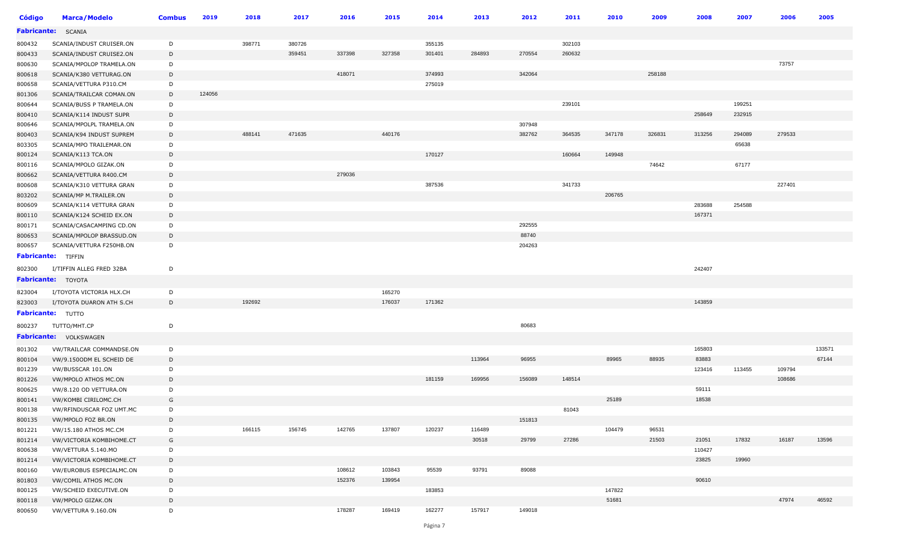| <b>Código</b>      | <b>Marca/Modelo</b>           | <b>Combus</b> | 2019   | 2018   | 2017   | 2016   | 2015   | 2014   | 2013   | 2012   | 2011   | 2010   | 2009   | 2008   | 2007   | 2006   | 2005   |
|--------------------|-------------------------------|---------------|--------|--------|--------|--------|--------|--------|--------|--------|--------|--------|--------|--------|--------|--------|--------|
| <b>Fabricante:</b> | <b>SCANIA</b>                 |               |        |        |        |        |        |        |        |        |        |        |        |        |        |        |        |
| 800432             | SCANIA/INDUST CRUISER.ON      | D             |        | 398771 | 380726 |        |        | 355135 |        |        | 302103 |        |        |        |        |        |        |
| 800433             | SCANIA/INDUST CRUISE2.ON      | D             |        |        | 359451 | 337398 | 327358 | 301401 | 284893 | 270554 | 260632 |        |        |        |        |        |        |
| 800630             | SCANIA/MPOLOP TRAMELA.ON      | D             |        |        |        |        |        |        |        |        |        |        |        |        |        | 73757  |        |
| 800618             | SCANIA/K380 VETTURAG.ON       | D             |        |        |        | 418071 |        | 374993 |        | 342064 |        |        | 258188 |        |        |        |        |
| 800658             | SCANIA/VETTURA P310.CM        | D             |        |        |        |        |        | 275019 |        |        |        |        |        |        |        |        |        |
| 801306             | SCANIA/TRAILCAR COMAN.ON      | D             | 124056 |        |        |        |        |        |        |        |        |        |        |        |        |        |        |
| 800644             | SCANIA/BUSS P TRAMELA.ON      | D             |        |        |        |        |        |        |        |        | 239101 |        |        |        | 199251 |        |        |
| 800410             | SCANIA/K114 INDUST SUPR       | D             |        |        |        |        |        |        |        |        |        |        |        | 258649 | 232915 |        |        |
| 800646             | SCANIA/MPOLPL TRAMELA.ON      | D             |        |        |        |        |        |        |        | 307948 |        |        |        |        |        |        |        |
| 800403             | SCANIA/K94 INDUST SUPREM      | D             |        | 488141 | 471635 |        | 440176 |        |        | 382762 | 364535 | 347178 | 326831 | 313256 | 294089 | 279533 |        |
| 803305             | SCANIA/MPO TRAILEMAR.ON       | D             |        |        |        |        |        |        |        |        |        |        |        |        | 65638  |        |        |
| 800124             | SCANIA/K113 TCA.ON            | D             |        |        |        |        |        | 170127 |        |        | 160664 | 149948 |        |        |        |        |        |
| 800116             | SCANIA/MPOLO GIZAK.ON         | D             |        |        |        |        |        |        |        |        |        |        | 74642  |        | 67177  |        |        |
| 800662             | SCANIA/VETTURA R400.CM        | D             |        |        |        | 279036 |        |        |        |        |        |        |        |        |        |        |        |
| 800608             | SCANIA/K310 VETTURA GRAN      | D             |        |        |        |        |        | 387536 |        |        | 341733 |        |        |        |        | 227401 |        |
| 803202             | SCANIA/MP M.TRAILER.ON        | D             |        |        |        |        |        |        |        |        |        | 206765 |        |        |        |        |        |
| 800609             | SCANIA/K114 VETTURA GRAN      | D             |        |        |        |        |        |        |        |        |        |        |        | 283688 | 254588 |        |        |
| 800110             | SCANIA/K124 SCHEID EX.ON      | D             |        |        |        |        |        |        |        |        |        |        |        | 167371 |        |        |        |
| 800171             | SCANIA/CASACAMPING CD.ON      | D             |        |        |        |        |        |        |        | 292555 |        |        |        |        |        |        |        |
| 800653             | SCANIA/MPOLOP BRASSUD.ON      | D             |        |        |        |        |        |        |        | 88740  |        |        |        |        |        |        |        |
| 800657             | SCANIA/VETTURA F250HB.ON      | D             |        |        |        |        |        |        |        | 204263 |        |        |        |        |        |        |        |
|                    | <b>Fabricante:</b> TIFFIN     |               |        |        |        |        |        |        |        |        |        |        |        |        |        |        |        |
| 802300             | I/TIFFIN ALLEG FRED 32BA      | D             |        |        |        |        |        |        |        |        |        |        |        | 242407 |        |        |        |
|                    | <b>Fabricante:</b> TOYOTA     |               |        |        |        |        |        |        |        |        |        |        |        |        |        |        |        |
| 823004             | I/TOYOTA VICTORIA HLX.CH      | D             |        |        |        |        | 165270 |        |        |        |        |        |        |        |        |        |        |
| 823003             | I/TOYOTA DUARON ATH S.CH      | D             |        | 192692 |        |        | 176037 | 171362 |        |        |        |        |        | 143859 |        |        |        |
|                    | Fabricante: TUTTO             |               |        |        |        |        |        |        |        |        |        |        |        |        |        |        |        |
|                    |                               |               |        |        |        |        |        |        |        |        |        |        |        |        |        |        |        |
| 800237             | TUTTO/MHT.CP                  | D             |        |        |        |        |        |        |        | 80683  |        |        |        |        |        |        |        |
|                    | <b>Fabricante: VOLKSWAGEN</b> |               |        |        |        |        |        |        |        |        |        |        |        |        |        |        |        |
| 801302             | VW/TRAILCAR COMMANDSE.ON      | D             |        |        |        |        |        |        |        |        |        |        |        | 165803 |        |        | 133571 |
| 800104             | VW/9.1500DM EL SCHEID DE      | D             |        |        |        |        |        |        | 113964 | 96955  |        | 89965  | 88935  | 83883  |        |        | 67144  |
| 801239             | VW/BUSSCAR 101.ON             | D             |        |        |        |        |        |        |        |        |        |        |        | 123416 | 113455 | 109794 |        |
| 801226             | VW/MPOLO ATHOS MC.ON          | D             |        |        |        |        |        | 181159 | 169956 | 156089 | 148514 |        |        |        |        | 108686 |        |
| 800625             | VW/8.120 OD VETTURA.ON        | D             |        |        |        |        |        |        |        |        |        |        |        | 59111  |        |        |        |
| 800141             | VW/KOMBI CIRILOMC.CH          | G             |        |        |        |        |        |        |        |        |        | 25189  |        | 18538  |        |        |        |
| 800138             | VW/RFINDUSCAR FOZ UMT.MC      | D             |        |        |        |        |        |        |        |        | 81043  |        |        |        |        |        |        |
| 800135             | VW/MPOLO FOZ BR.ON            | D             |        |        |        |        |        |        |        | 151813 |        |        |        |        |        |        |        |
| 801221             | VW/15.180 ATHOS MC.CM         | D             |        | 166115 | 156745 | 142765 | 137807 | 120237 | 116489 |        |        | 104479 | 96531  |        |        |        |        |
| 801214             | VW/VICTORIA KOMBIHOME.CT      | G             |        |        |        |        |        |        | 30518  | 29799  | 27286  |        | 21503  | 21051  | 17832  | 16187  | 13596  |
| 800638             | VW/VETTURA 5.140.MO           | D             |        |        |        |        |        |        |        |        |        |        |        | 110427 |        |        |        |
| 801214             | VW/VICTORIA KOMBIHOME.CT      | D             |        |        |        |        |        |        |        |        |        |        |        | 23825  | 19960  |        |        |
| 800160             | VW/EUROBUS ESPECIALMC.ON      | D             |        |        |        | 108612 | 103843 | 95539  | 93791  | 89088  |        |        |        |        |        |        |        |
| 801803             | VW/COMIL ATHOS MC.ON          | D             |        |        |        | 152376 | 139954 |        |        |        |        |        |        | 90610  |        |        |        |
| 800125             | VW/SCHEID EXECUTIVE.ON        | D             |        |        |        |        |        | 183853 |        |        |        | 147822 |        |        |        |        |        |
| 800118             | VW/MPOLO GIZAK.ON             | D             |        |        |        |        |        |        |        |        |        | 51681  |        |        |        | 47974  | 46592  |
| 800650             | VW/VETTURA 9.160.ON           | D             |        |        |        | 178287 | 169419 | 162277 | 157917 | 149018 |        |        |        |        |        |        |        |